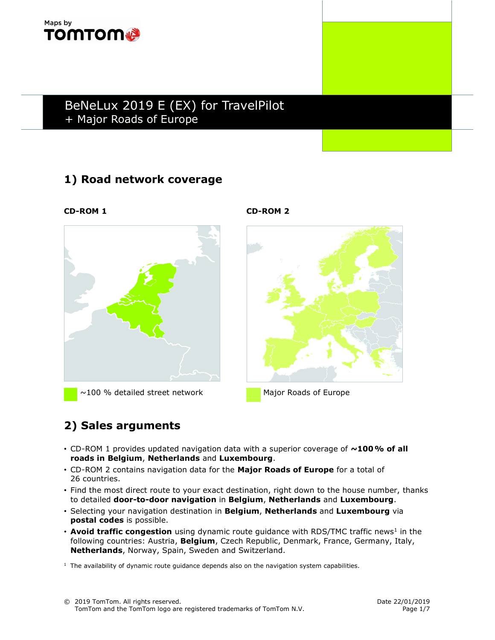

## 1) Road network coverage



 $\sim$ 100 % detailed street network Major Roads of Europe

CD-ROM 1 CD-ROM 2



# 2) Sales arguments

- CD-ROM 1 provides updated navigation data with a superior coverage of  $\sim$ 100% of all roads in Belgium, Netherlands and Luxembourg.
- CD-ROM 2 contains navigation data for the Major Roads of Europe for a total of 26 countries.
- Find the most direct route to your exact destination, right down to the house number, thanks to detailed door-to-door navigation in Belgium, Netherlands and Luxembourg.
- Selecting your navigation destination in Belgium, Netherlands and Luxembourg via postal codes is possible.
- Avoid traffic congestion using dynamic route guidance with RDS/TMC traffic news<sup>1</sup> in the following countries: Austria, Belgium, Czech Republic, Denmark, France, Germany, Italy, Netherlands, Norway, Spain, Sweden and Switzerland.

 $<sup>1</sup>$  The availability of dynamic route guidance depends also on the navigation system capabilities.</sup>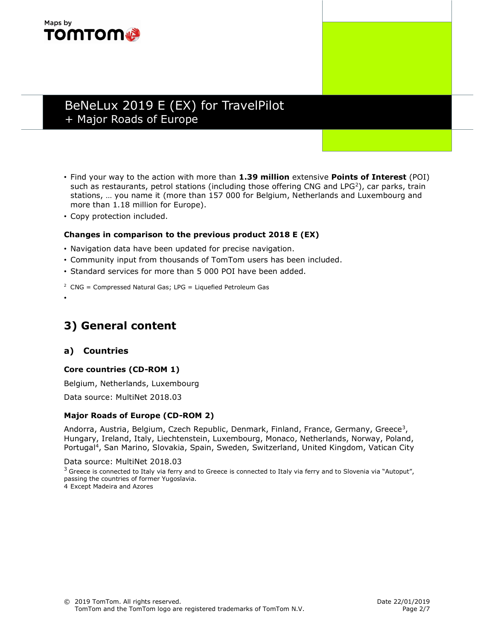

- Find your way to the action with more than 1.39 million extensive Points of Interest (POI) such as restaurants, petrol stations (including those offering CNG and LPG<sup>2</sup>), car parks, train stations, … you name it (more than 157 000 for Belgium, Netherlands and Luxembourg and more than 1.18 million for Europe).
- Copy protection included.

#### Changes in comparison to the previous product 2018 E (EX)

- Navigation data have been updated for precise navigation.
- Community input from thousands of TomTom users has been included.
- Standard services for more than 5 000 POI have been added.
- $2$  CNG = Compressed Natural Gas; LPG = Liquefied Petroleum Gas

•

## 3) General content

#### a) Countries

#### Core countries (CD-ROM 1)

Belgium, Netherlands, Luxembourg

Data source: MultiNet 2018.03

#### Major Roads of Europe (CD-ROM 2)

Andorra, Austria, Belgium, Czech Republic, Denmark, Finland, France, Germany, Greece<sup>3</sup>, Hungary, Ireland, Italy, Liechtenstein, Luxembourg, Monaco, Netherlands, Norway, Poland, Portugal<sup>4</sup>, San Marino, Slovakia, Spain, Sweden, Switzerland, United Kingdom, Vatican City

Data source: MultiNet 2018.03

 $3$  Greece is connected to Italy via ferry and to Greece is connected to Italy via ferry and to Slovenia via "Autoput", passing the countries of former Yugoslavia.

4 Except Madeira and Azores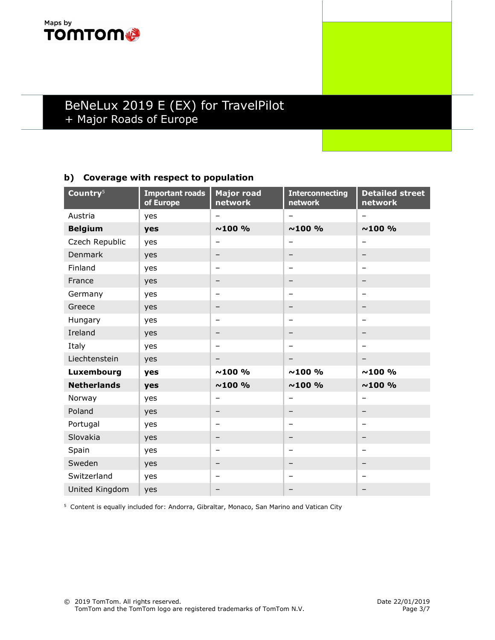

### b) Coverage with respect to population

| Country <sup>5</sup> | <b>Important roads</b><br>of Europe | <b>Major road</b><br>network | <b>Interconnecting</b><br>network | <b>Detailed street</b><br>network |
|----------------------|-------------------------------------|------------------------------|-----------------------------------|-----------------------------------|
| Austria              | yes                                 |                              | $\overline{\phantom{0}}$          | Ξ.                                |
| <b>Belgium</b>       | yes                                 | $~100\%$                     | $~100\%$                          | $~100\%$                          |
| Czech Republic       | yes                                 |                              | -                                 |                                   |
| Denmark              | yes                                 | $\qquad \qquad -$            | -                                 |                                   |
| Finland              | yes                                 | $\qquad \qquad \blacksquare$ | $\overline{\phantom{0}}$          | -                                 |
| France               | yes                                 | $\overline{\phantom{m}}$     |                                   | -                                 |
| Germany              | yes                                 | $\qquad \qquad$              | $\qquad \qquad$                   | -                                 |
| Greece               | yes                                 | $\qquad \qquad \blacksquare$ | $\qquad \qquad$                   | -                                 |
| Hungary              | yes                                 | $\overline{\phantom{0}}$     | $\overline{\phantom{0}}$          | <u>.</u>                          |
| Ireland              | yes                                 | -                            | $\qquad \qquad \blacksquare$      | -                                 |
| Italy                | yes                                 | $\overline{\phantom{m}}$     | $\qquad \qquad \blacksquare$      |                                   |
| Liechtenstein        | yes                                 | $\overline{\phantom{m}}$     | $\qquad \qquad \blacksquare$      |                                   |
| Luxembourg           | yes                                 | $~100\%$                     | ~100~%                            | ~100~%                            |
| <b>Netherlands</b>   | yes                                 | $~100\%$                     | ~100~%                            | ~100~%                            |
| Norway               | yes                                 | $\overline{\phantom{0}}$     | $\overline{\phantom{0}}$          | -                                 |
| Poland               | yes                                 | $\qquad \qquad -$            | $\overline{\phantom{m}}$          | -                                 |
| Portugal             | yes                                 | $\overline{\phantom{0}}$     | $\overline{\phantom{0}}$          | $\overline{\phantom{0}}$          |
| Slovakia             | yes                                 | $\overline{\phantom{0}}$     | -                                 | -                                 |
| Spain                | yes                                 | $\qquad \qquad$              | $\qquad \qquad$                   | -                                 |
| Sweden               | yes                                 | $\qquad \qquad -$            | -                                 | -                                 |
| Switzerland          | yes                                 | $\qquad \qquad$              | $\qquad \qquad \blacksquare$      | -                                 |
| United Kingdom       | yes                                 | $\qquad \qquad \blacksquare$ |                                   |                                   |

<sup>5</sup> Content is equally included for: Andorra, Gibraltar, Monaco, San Marino and Vatican City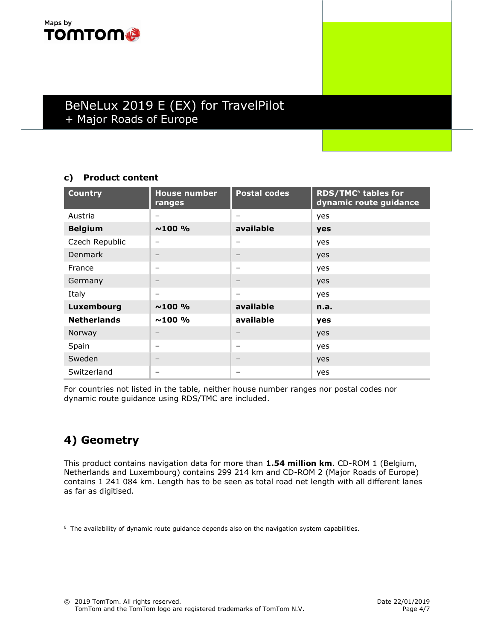

### c) Product content

| <b>Country</b>     | <b>House number</b><br>ranges | <b>Postal codes</b> | RDS/TMC <sup>6</sup> tables for<br>dynamic route guidance |
|--------------------|-------------------------------|---------------------|-----------------------------------------------------------|
| Austria            |                               | -                   | yes                                                       |
| <b>Belgium</b>     | $~100\%$                      | available           | yes                                                       |
| Czech Republic     |                               | -                   | yes                                                       |
| <b>Denmark</b>     | -                             | -                   | yes                                                       |
| France             |                               | —                   | yes                                                       |
| Germany            | -                             | $\qquad \qquad$     | yes                                                       |
| Italy              | -                             | -                   | yes                                                       |
| Luxembourg         | $~100\%$                      | available           | n.a.                                                      |
| <b>Netherlands</b> | $~100\%$                      | available           | yes                                                       |
| Norway             |                               |                     | yes                                                       |
| Spain              | -                             | -                   | yes                                                       |
| Sweden             |                               |                     | yes                                                       |
| Switzerland        |                               |                     | yes                                                       |

For countries not listed in the table, neither house number ranges nor postal codes nor dynamic route guidance using RDS/TMC are included.

# 4) Geometry

This product contains navigation data for more than 1.54 million km. CD-ROM 1 (Belgium, Netherlands and Luxembourg) contains 299 214 km and CD-ROM 2 (Major Roads of Europe) contains 1 241 084 km. Length has to be seen as total road net length with all different lanes as far as digitised.

<sup>6</sup> The availability of dynamic route guidance depends also on the navigation system capabilities.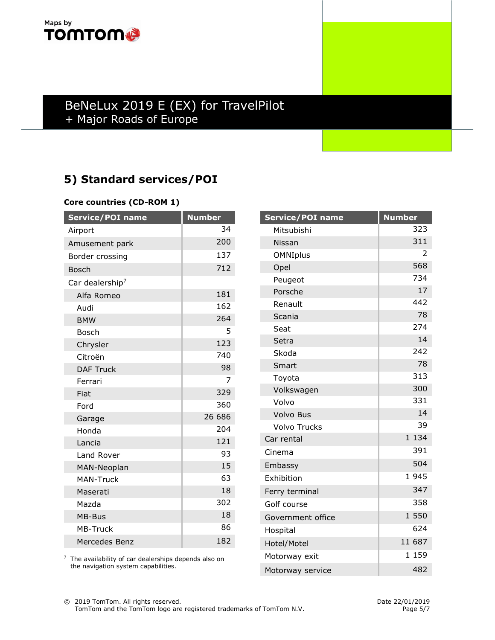

# 5) Standard services/POI

#### Core countries (CD-ROM 1)

| <b>Service/POI name</b>     | <b>Number</b> |
|-----------------------------|---------------|
| Airport                     | 34            |
| Amusement park              | 200           |
| Border crossing             | 137           |
| <b>Bosch</b>                | 712           |
| Car dealership <sup>7</sup> |               |
| Alfa Romeo                  | 181           |
| Audi                        | 162           |
| <b>BMW</b>                  | 264           |
| <b>Bosch</b>                | 5             |
| Chrysler                    | 123           |
| Citroën                     | 740           |
| <b>DAF Truck</b>            | 98            |
| Ferrari                     | 7             |
| Fiat                        | 329           |
| Ford                        | 360           |
| Garage                      | 26 686        |
| Honda                       | 204           |
| Lancia                      | 121           |
| Land Rover                  | 93            |
| MAN-Neoplan                 | 15            |
| <b>MAN-Truck</b>            | 63            |
| Maserati                    | 18            |
| Mazda                       | 302           |
| MB-Bus                      | 18            |
| <b>MB-Truck</b>             | 86            |
| Mercedes Benz               | 182           |

| <sup>7</sup> The availability of car dealerships depends also on |
|------------------------------------------------------------------|
| the navigation system capabilities.                              |

| Service/POI name    | <b>Number</b>       |
|---------------------|---------------------|
| Mitsubishi          | 323                 |
| Nissan              | 311                 |
| OMNIplus            | 2                   |
| Opel                | 568                 |
| Peugeot             | 734                 |
| Porsche             | 17                  |
| Renault             | 442                 |
| Scania              | 78                  |
| Seat                | 274                 |
| Setra               | 14                  |
| Skoda               | 242                 |
| Smart               | 78                  |
| Toyota              | 313                 |
| Volkswagen          | 300                 |
| Volvo               | 331                 |
| <b>Volvo Bus</b>    | 14                  |
| <b>Volvo Trucks</b> | 39                  |
| Car rental          | 1 1 3 4             |
| Cinema              | 391                 |
| Embassy             | 504                 |
| Exhibition          | 1945                |
| Ferry terminal      | 347                 |
| Golf course         | 358                 |
| Government office   | 1 550               |
| Hospital            | 624                 |
| Hotel/Motel         | 11 687              |
| Motorway exit       | 159<br>$\mathbf{1}$ |
| Motorway service    | 482                 |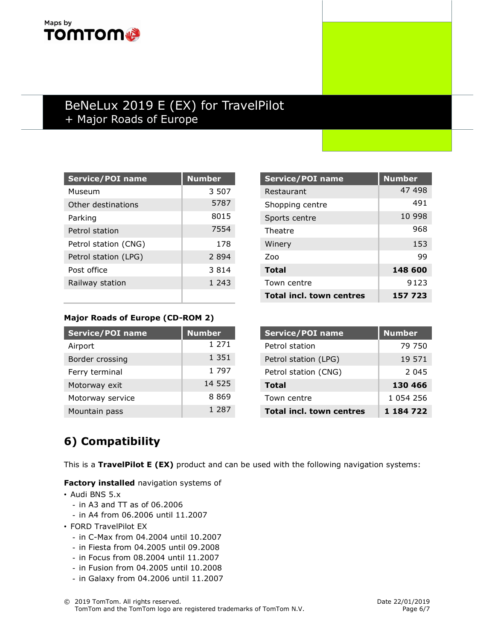## Maps by **TOMTOM**

## BeNeLux 2019 E (EX) for TravelPilot + Major Roads of Europe

| <b>Service/POI name</b> | <b>Number</b> |
|-------------------------|---------------|
| Museum                  | 3 507         |
| Other destinations      | 5787          |
| Parking                 | 8015          |
| Petrol station          | 7554          |
| Petrol station (CNG)    | 178           |
| Petrol station (LPG)    | 2894          |
| Post office             | 3 8 1 4       |
| Railway station         | 1.243         |
|                         |               |

| <b>Service/POI name</b>         | <b>Number</b> |
|---------------------------------|---------------|
| Restaurant                      | 47 498        |
| Shopping centre                 | 491           |
| Sports centre                   | 10 998        |
| Theatre                         | 968           |
| Winery                          | 153           |
| 700                             | 99            |
| <b>Total</b>                    | 148 600       |
| Town centre                     | 9123          |
| <b>Total incl. town centres</b> | 157 723       |

### Major Roads of Europe (CD-ROM 2)

| <b>Service/POI name</b> | <b>Number</b> |
|-------------------------|---------------|
| Airport                 | 1 271         |
| Border crossing         | 1 3 5 1       |
| Ferry terminal          | 1 7 9 7       |
| Motorway exit           | 14 525        |
| Motorway service        | 8869          |
| Mountain pass           | 1 2 8 7       |

| <b>Service/POI name</b>         | <b>Number</b> |
|---------------------------------|---------------|
| Petrol station                  | 79 750        |
| Petrol station (LPG)            | 19 571        |
| Petrol station (CNG)            | 2 045         |
| Total                           | 130 466       |
| Town centre                     | 1 054 256     |
| <b>Total incl. town centres</b> | 1 184 722     |

# 6) Compatibility

This is a TravelPilot E (EX) product and can be used with the following navigation systems:

Factory installed navigation systems of

- Audi BNS 5.x
	- in A3 and TT as of 06.2006
	- in A4 from 06.2006 until 11.2007
- FORD TravelPilot EX
	- in C-Max from 04.2004 until 10.2007
	- in Fiesta from 04.2005 until 09.2008
	- in Focus from 08.2004 until 11.2007
	- in Fusion from 04.2005 until 10.2008
	- in Galaxy from 04.2006 until 11.2007